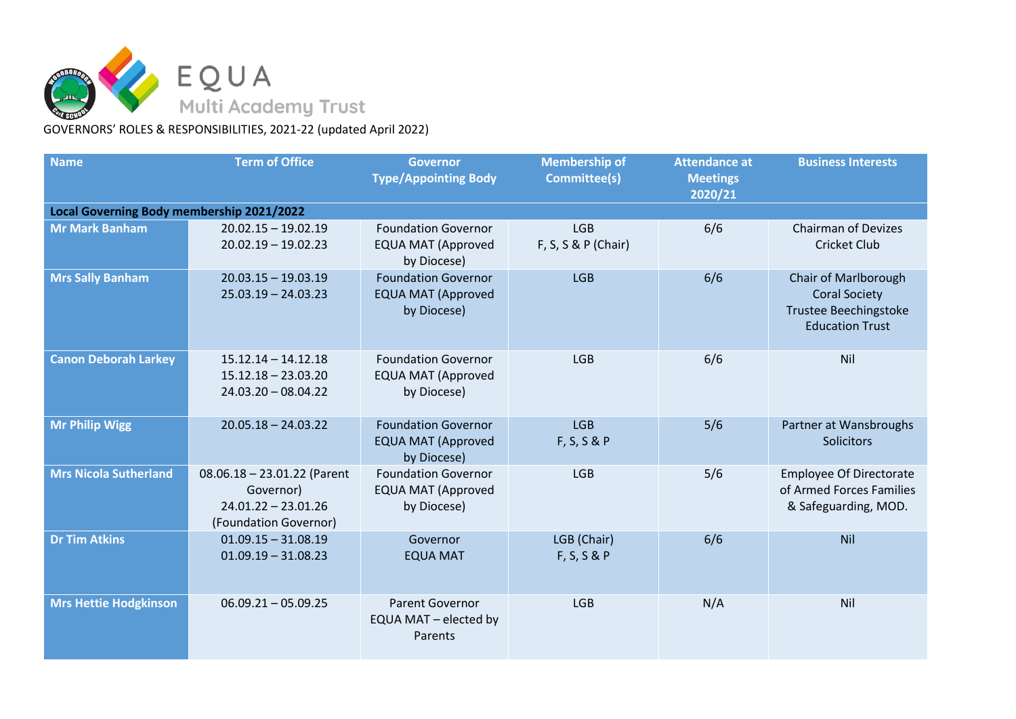

GOVERNORS' ROLES & RESPONSIBILITIES, 2021-22 (updated April 2022)

| <b>Name</b>                               | <b>Term of Office</b>                                                                        | <b>Governor</b><br><b>Type/Appointing Body</b>                         | <b>Membership of</b><br><b>Committee(s)</b> | <b>Attendance at</b><br><b>Meetings</b><br>2020/21 | <b>Business Interests</b>                                                                              |  |  |  |  |
|-------------------------------------------|----------------------------------------------------------------------------------------------|------------------------------------------------------------------------|---------------------------------------------|----------------------------------------------------|--------------------------------------------------------------------------------------------------------|--|--|--|--|
| Local Governing Body membership 2021/2022 |                                                                                              |                                                                        |                                             |                                                    |                                                                                                        |  |  |  |  |
| <b>Mr Mark Banham</b>                     | $20.02.15 - 19.02.19$<br>$20.02.19 - 19.02.23$                                               | <b>Foundation Governor</b><br><b>EQUA MAT (Approved</b><br>by Diocese) | <b>LGB</b><br>F, S, S & P (Chair)           | 6/6                                                | <b>Chairman of Devizes</b><br><b>Cricket Club</b>                                                      |  |  |  |  |
| <b>Mrs Sally Banham</b>                   | $20.03.15 - 19.03.19$<br>$25.03.19 - 24.03.23$                                               | <b>Foundation Governor</b><br><b>EQUA MAT (Approved</b><br>by Diocese) | <b>LGB</b>                                  | 6/6                                                | Chair of Marlborough<br><b>Coral Society</b><br><b>Trustee Beechingstoke</b><br><b>Education Trust</b> |  |  |  |  |
| <b>Canon Deborah Larkey</b>               | $15.12.14 - 14.12.18$<br>$15.12.18 - 23.03.20$<br>$24.03.20 - 08.04.22$                      | <b>Foundation Governor</b><br><b>EQUA MAT (Approved</b><br>by Diocese) | <b>LGB</b>                                  | 6/6                                                | Nil                                                                                                    |  |  |  |  |
| <b>Mr Philip Wigg</b>                     | $20.05.18 - 24.03.22$                                                                        | <b>Foundation Governor</b><br><b>EQUA MAT (Approved</b><br>by Diocese) | <b>LGB</b><br>F, S, S & P                   | 5/6                                                | Partner at Wansbroughs<br><b>Solicitors</b>                                                            |  |  |  |  |
| <b>Mrs Nicola Sutherland</b>              | $08.06.18 - 23.01.22$ (Parent<br>Governor)<br>$24.01.22 - 23.01.26$<br>(Foundation Governor) | <b>Foundation Governor</b><br><b>EQUA MAT (Approved</b><br>by Diocese) | <b>LGB</b>                                  | 5/6                                                | <b>Employee Of Directorate</b><br>of Armed Forces Families<br>& Safeguarding, MOD.                     |  |  |  |  |
| <b>Dr Tim Atkins</b>                      | $01.09.15 - 31.08.19$<br>$01.09.19 - 31.08.23$                                               | Governor<br><b>EQUA MAT</b>                                            | LGB (Chair)<br>F, S, S & P                  | 6/6                                                | Nil                                                                                                    |  |  |  |  |
| <b>Mrs Hettie Hodgkinson</b>              | $06.09.21 - 05.09.25$                                                                        | <b>Parent Governor</b><br>EQUA MAT - elected by<br>Parents             | <b>LGB</b>                                  | N/A                                                | Nil                                                                                                    |  |  |  |  |